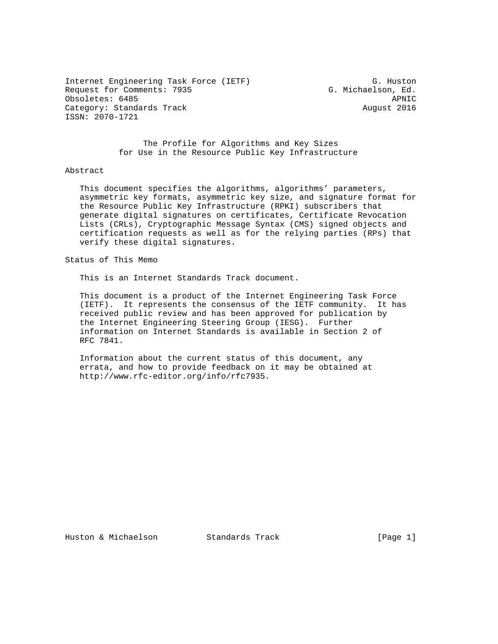Internet Engineering Task Force (IETF) G. Huston Request for Comments: 7935 G. Michaelson, Ed. Obsoletes: 6485 APNIC Category: Standards Track August 2016 ISSN: 2070-1721

 The Profile for Algorithms and Key Sizes for Use in the Resource Public Key Infrastructure

### Abstract

 This document specifies the algorithms, algorithms' parameters, asymmetric key formats, asymmetric key size, and signature format for the Resource Public Key Infrastructure (RPKI) subscribers that generate digital signatures on certificates, Certificate Revocation Lists (CRLs), Cryptographic Message Syntax (CMS) signed objects and certification requests as well as for the relying parties (RPs) that verify these digital signatures.

Status of This Memo

This is an Internet Standards Track document.

 This document is a product of the Internet Engineering Task Force (IETF). It represents the consensus of the IETF community. It has received public review and has been approved for publication by the Internet Engineering Steering Group (IESG). Further information on Internet Standards is available in Section 2 of RFC 7841.

 Information about the current status of this document, any errata, and how to provide feedback on it may be obtained at http://www.rfc-editor.org/info/rfc7935.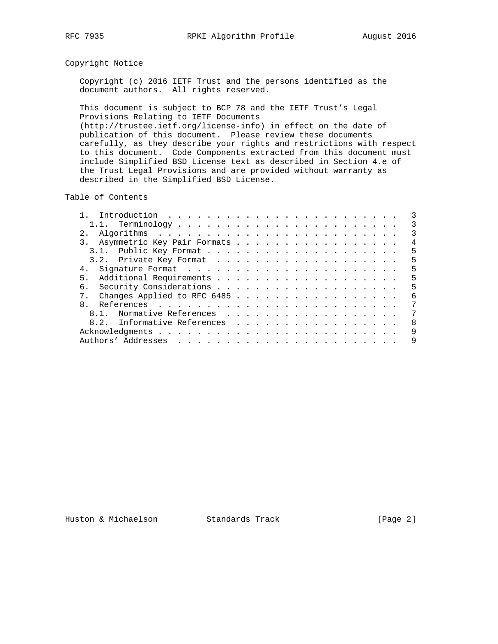# Copyright Notice

 Copyright (c) 2016 IETF Trust and the persons identified as the document authors. All rights reserved.

 This document is subject to BCP 78 and the IETF Trust's Legal Provisions Relating to IETF Documents (http://trustee.ietf.org/license-info) in effect on the date of publication of this document. Please review these documents carefully, as they describe your rights and restrictions with respect to this document. Code Components extracted from this document must include Simplified BSD License text as described in Section 4.e of the Trust Legal Provisions and are provided without warranty as described in the Simplified BSD License.

Table of Contents

|                                | 3  |
|--------------------------------|----|
|                                | 3  |
| 3. Asymmetric Key Pair Formats | 4  |
|                                | -5 |
|                                | 5  |
| 4.                             | .5 |
| 5 <sub>1</sub>                 | .5 |
| б.                             | .5 |
| Changes Applied to RFC 6485    | 6  |
| $\mathsf{R}$                   | 7  |
| Normative References<br>8.1.   | 7  |
| 8.2. Informative References    | 8  |
|                                | 9  |
|                                | 9  |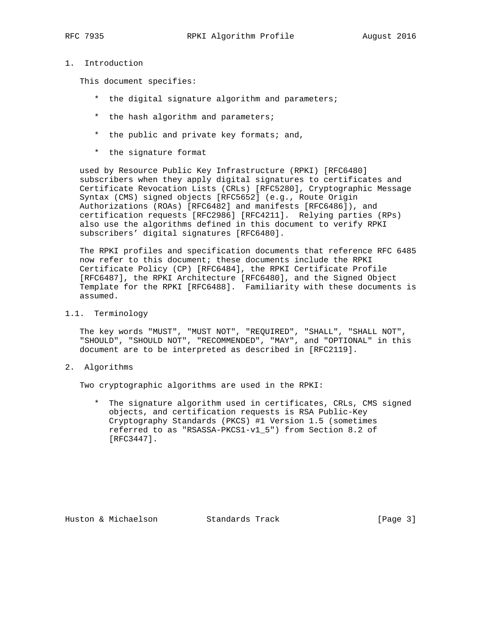# 1. Introduction

This document specifies:

- \* the digital signature algorithm and parameters;
- \* the hash algorithm and parameters;
- \* the public and private key formats; and,
- \* the signature format

 used by Resource Public Key Infrastructure (RPKI) [RFC6480] subscribers when they apply digital signatures to certificates and Certificate Revocation Lists (CRLs) [RFC5280], Cryptographic Message Syntax (CMS) signed objects [RFC5652] (e.g., Route Origin Authorizations (ROAs) [RFC6482] and manifests [RFC6486]), and certification requests [RFC2986] [RFC4211]. Relying parties (RPs) also use the algorithms defined in this document to verify RPKI subscribers' digital signatures [RFC6480].

 The RPKI profiles and specification documents that reference RFC 6485 now refer to this document; these documents include the RPKI Certificate Policy (CP) [RFC6484], the RPKI Certificate Profile [RFC6487], the RPKI Architecture [RFC6480], and the Signed Object Template for the RPKI [RFC6488]. Familiarity with these documents is assumed.

1.1. Terminology

 The key words "MUST", "MUST NOT", "REQUIRED", "SHALL", "SHALL NOT", "SHOULD", "SHOULD NOT", "RECOMMENDED", "MAY", and "OPTIONAL" in this document are to be interpreted as described in [RFC2119].

2. Algorithms

Two cryptographic algorithms are used in the RPKI:

 \* The signature algorithm used in certificates, CRLs, CMS signed objects, and certification requests is RSA Public-Key Cryptography Standards (PKCS) #1 Version 1.5 (sometimes referred to as "RSASSA-PKCS1-v1\_5") from Section 8.2 of [RFC3447].

Huston & Michaelson Standards Track [Page 3]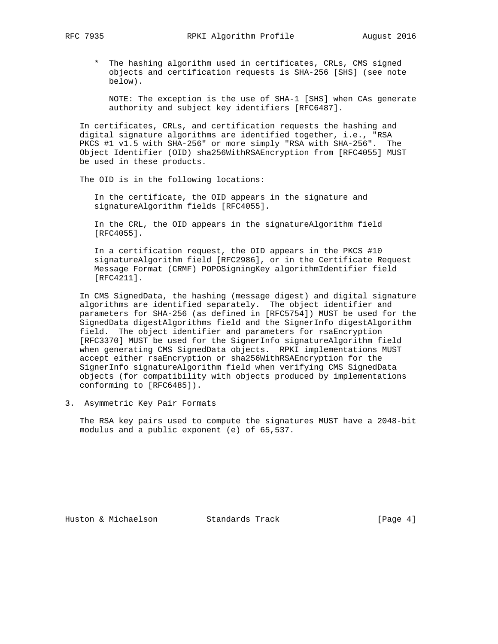\* The hashing algorithm used in certificates, CRLs, CMS signed objects and certification requests is SHA-256 [SHS] (see note below).

 NOTE: The exception is the use of SHA-1 [SHS] when CAs generate authority and subject key identifiers [RFC6487].

 In certificates, CRLs, and certification requests the hashing and digital signature algorithms are identified together, i.e., "RSA PKCS #1 v1.5 with SHA-256" or more simply "RSA with SHA-256". The Object Identifier (OID) sha256WithRSAEncryption from [RFC4055] MUST be used in these products.

The OID is in the following locations:

 In the certificate, the OID appears in the signature and signatureAlgorithm fields [RFC4055].

 In the CRL, the OID appears in the signatureAlgorithm field [RFC4055].

 In a certification request, the OID appears in the PKCS #10 signatureAlgorithm field [RFC2986], or in the Certificate Request Message Format (CRMF) POPOSigningKey algorithmIdentifier field [RFC4211].

 In CMS SignedData, the hashing (message digest) and digital signature algorithms are identified separately. The object identifier and parameters for SHA-256 (as defined in [RFC5754]) MUST be used for the SignedData digestAlgorithms field and the SignerInfo digestAlgorithm field. The object identifier and parameters for rsaEncryption [RFC3370] MUST be used for the SignerInfo signatureAlgorithm field when generating CMS SignedData objects. RPKI implementations MUST accept either rsaEncryption or sha256WithRSAEncryption for the SignerInfo signatureAlgorithm field when verifying CMS SignedData objects (for compatibility with objects produced by implementations conforming to [RFC6485]).

3. Asymmetric Key Pair Formats

 The RSA key pairs used to compute the signatures MUST have a 2048-bit modulus and a public exponent (e) of 65,537.

Huston & Michaelson Standards Track [Page 4]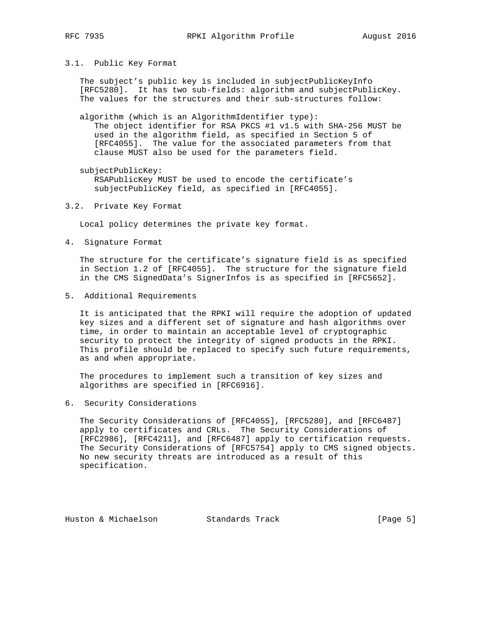3.1. Public Key Format

 The subject's public key is included in subjectPublicKeyInfo [RFC5280]. It has two sub-fields: algorithm and subjectPublicKey. The values for the structures and their sub-structures follow:

 algorithm (which is an AlgorithmIdentifier type): The object identifier for RSA PKCS #1 v1.5 with SHA-256 MUST be used in the algorithm field, as specified in Section 5 of [RFC4055]. The value for the associated parameters from that clause MUST also be used for the parameters field.

 subjectPublicKey: RSAPublicKey MUST be used to encode the certificate's subjectPublicKey field, as specified in [RFC4055].

### 3.2. Private Key Format

Local policy determines the private key format.

4. Signature Format

 The structure for the certificate's signature field is as specified in Section 1.2 of [RFC4055]. The structure for the signature field in the CMS SignedData's SignerInfos is as specified in [RFC5652].

5. Additional Requirements

 It is anticipated that the RPKI will require the adoption of updated key sizes and a different set of signature and hash algorithms over time, in order to maintain an acceptable level of cryptographic security to protect the integrity of signed products in the RPKI. This profile should be replaced to specify such future requirements, as and when appropriate.

 The procedures to implement such a transition of key sizes and algorithms are specified in [RFC6916].

6. Security Considerations

 The Security Considerations of [RFC4055], [RFC5280], and [RFC6487] apply to certificates and CRLs. The Security Considerations of [RFC2986], [RFC4211], and [RFC6487] apply to certification requests. The Security Considerations of [RFC5754] apply to CMS signed objects. No new security threats are introduced as a result of this specification.

Huston & Michaelson Standards Track [Page 5]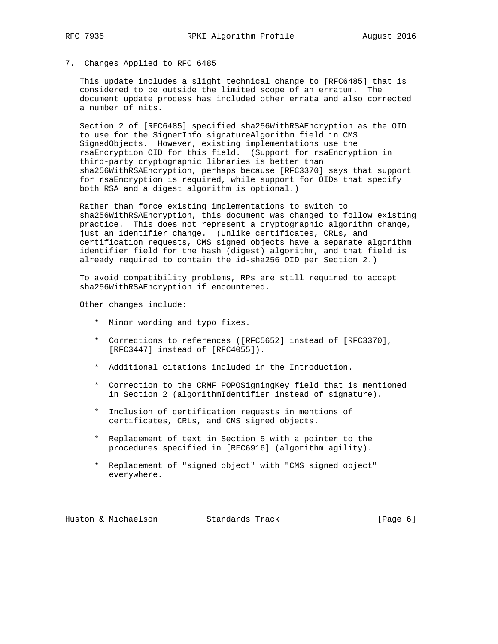# 7. Changes Applied to RFC 6485

 This update includes a slight technical change to [RFC6485] that is considered to be outside the limited scope of an erratum. The document update process has included other errata and also corrected a number of nits.

 Section 2 of [RFC6485] specified sha256WithRSAEncryption as the OID to use for the SignerInfo signatureAlgorithm field in CMS SignedObjects. However, existing implementations use the rsaEncryption OID for this field. (Support for rsaEncryption in third-party cryptographic libraries is better than sha256WithRSAEncryption, perhaps because [RFC3370] says that support for rsaEncryption is required, while support for OIDs that specify both RSA and a digest algorithm is optional.)

 Rather than force existing implementations to switch to sha256WithRSAEncryption, this document was changed to follow existing practice. This does not represent a cryptographic algorithm change, just an identifier change. (Unlike certificates, CRLs, and certification requests, CMS signed objects have a separate algorithm identifier field for the hash (digest) algorithm, and that field is already required to contain the id-sha256 OID per Section 2.)

 To avoid compatibility problems, RPs are still required to accept sha256WithRSAEncryption if encountered.

Other changes include:

- \* Minor wording and typo fixes.
- \* Corrections to references ([RFC5652] instead of [RFC3370], [RFC3447] instead of [RFC4055]).
- \* Additional citations included in the Introduction.
- \* Correction to the CRMF POPOSigningKey field that is mentioned in Section 2 (algorithmIdentifier instead of signature).
- \* Inclusion of certification requests in mentions of certificates, CRLs, and CMS signed objects.
- \* Replacement of text in Section 5 with a pointer to the procedures specified in [RFC6916] (algorithm agility).
- \* Replacement of "signed object" with "CMS signed object" everywhere.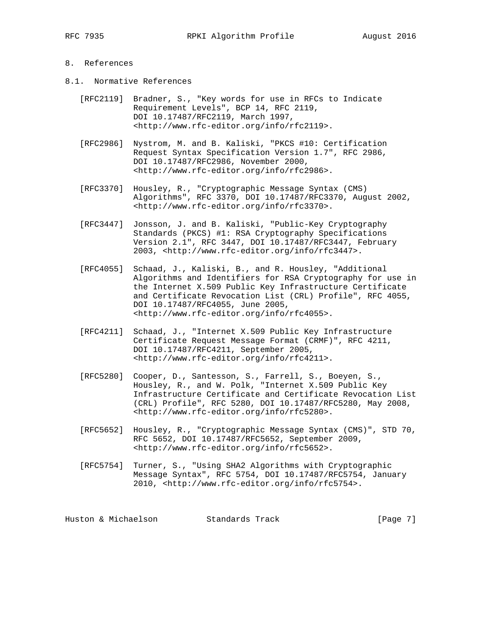## 8. References

- 8.1. Normative References
	- [RFC2119] Bradner, S., "Key words for use in RFCs to Indicate Requirement Levels", BCP 14, RFC 2119, DOI 10.17487/RFC2119, March 1997, <http://www.rfc-editor.org/info/rfc2119>.
	- [RFC2986] Nystrom, M. and B. Kaliski, "PKCS #10: Certification Request Syntax Specification Version 1.7", RFC 2986, DOI 10.17487/RFC2986, November 2000, <http://www.rfc-editor.org/info/rfc2986>.
	- [RFC3370] Housley, R., "Cryptographic Message Syntax (CMS) Algorithms", RFC 3370, DOI 10.17487/RFC3370, August 2002, <http://www.rfc-editor.org/info/rfc3370>.
	- [RFC3447] Jonsson, J. and B. Kaliski, "Public-Key Cryptography Standards (PKCS) #1: RSA Cryptography Specifications Version 2.1", RFC 3447, DOI 10.17487/RFC3447, February 2003, <http://www.rfc-editor.org/info/rfc3447>.
	- [RFC4055] Schaad, J., Kaliski, B., and R. Housley, "Additional Algorithms and Identifiers for RSA Cryptography for use in the Internet X.509 Public Key Infrastructure Certificate and Certificate Revocation List (CRL) Profile", RFC 4055, DOI 10.17487/RFC4055, June 2005, <http://www.rfc-editor.org/info/rfc4055>.
	- [RFC4211] Schaad, J., "Internet X.509 Public Key Infrastructure Certificate Request Message Format (CRMF)", RFC 4211, DOI 10.17487/RFC4211, September 2005, <http://www.rfc-editor.org/info/rfc4211>.
	- [RFC5280] Cooper, D., Santesson, S., Farrell, S., Boeyen, S., Housley, R., and W. Polk, "Internet X.509 Public Key Infrastructure Certificate and Certificate Revocation List (CRL) Profile", RFC 5280, DOI 10.17487/RFC5280, May 2008, <http://www.rfc-editor.org/info/rfc5280>.
	- [RFC5652] Housley, R., "Cryptographic Message Syntax (CMS)", STD 70, RFC 5652, DOI 10.17487/RFC5652, September 2009, <http://www.rfc-editor.org/info/rfc5652>.
	- [RFC5754] Turner, S., "Using SHA2 Algorithms with Cryptographic Message Syntax", RFC 5754, DOI 10.17487/RFC5754, January 2010, <http://www.rfc-editor.org/info/rfc5754>.

Huston & Michaelson Standards Track [Page 7]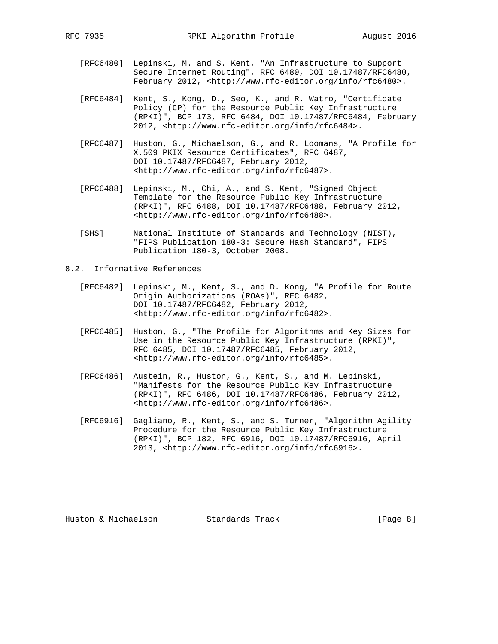- [RFC6480] Lepinski, M. and S. Kent, "An Infrastructure to Support Secure Internet Routing", RFC 6480, DOI 10.17487/RFC6480, February 2012, <http://www.rfc-editor.org/info/rfc6480>.
- [RFC6484] Kent, S., Kong, D., Seo, K., and R. Watro, "Certificate Policy (CP) for the Resource Public Key Infrastructure (RPKI)", BCP 173, RFC 6484, DOI 10.17487/RFC6484, February 2012, <http://www.rfc-editor.org/info/rfc6484>.
- [RFC6487] Huston, G., Michaelson, G., and R. Loomans, "A Profile for X.509 PKIX Resource Certificates", RFC 6487, DOI 10.17487/RFC6487, February 2012, <http://www.rfc-editor.org/info/rfc6487>.
- [RFC6488] Lepinski, M., Chi, A., and S. Kent, "Signed Object Template for the Resource Public Key Infrastructure (RPKI)", RFC 6488, DOI 10.17487/RFC6488, February 2012, <http://www.rfc-editor.org/info/rfc6488>.
- [SHS] National Institute of Standards and Technology (NIST), "FIPS Publication 180-3: Secure Hash Standard", FIPS Publication 180-3, October 2008.

8.2. Informative References

- [RFC6482] Lepinski, M., Kent, S., and D. Kong, "A Profile for Route Origin Authorizations (ROAs)", RFC 6482, DOI 10.17487/RFC6482, February 2012, <http://www.rfc-editor.org/info/rfc6482>.
- [RFC6485] Huston, G., "The Profile for Algorithms and Key Sizes for Use in the Resource Public Key Infrastructure (RPKI)", RFC 6485, DOI 10.17487/RFC6485, February 2012, <http://www.rfc-editor.org/info/rfc6485>.
- [RFC6486] Austein, R., Huston, G., Kent, S., and M. Lepinski, "Manifests for the Resource Public Key Infrastructure (RPKI)", RFC 6486, DOI 10.17487/RFC6486, February 2012, <http://www.rfc-editor.org/info/rfc6486>.
- [RFC6916] Gagliano, R., Kent, S., and S. Turner, "Algorithm Agility Procedure for the Resource Public Key Infrastructure (RPKI)", BCP 182, RFC 6916, DOI 10.17487/RFC6916, April 2013, <http://www.rfc-editor.org/info/rfc6916>.

Huston & Michaelson Standards Track [Page 8]